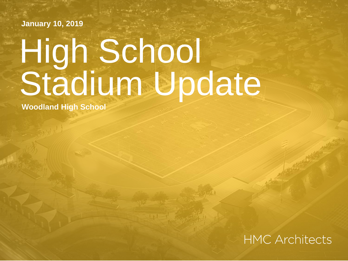**January 10, 2019**

# High School Stadium Update

**Woodland High School**

#### **HMC Architects**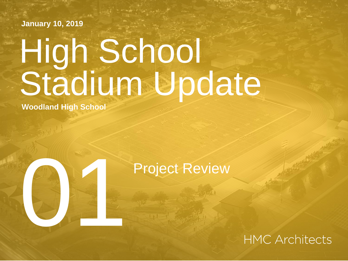**January 10, 2019**

# High School Stadium Update

**Woodland High School**

# Project Review<br>Experience Review<br>Constant Review

**HMC Architects**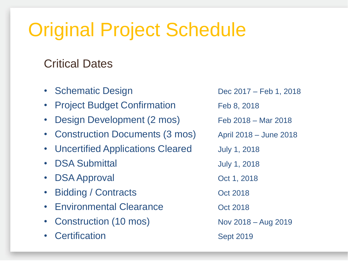## Original Project Schedule

#### Critical Dates

- Schematic Design Dec 2017 Feb 1, 2018 • Project Budget Confirmation Feb 8, 2018 • Design Development (2 mos) Feb 2018 – Mar 2018 • Construction Documents (3 mos) April 2018 – June 2018 • Uncertified Applications Cleared July 1, 2018 • DSA Submittal July 1, 2018 • DSA Approval Oct 1, 2018 • Bidding / Contracts Contracts Contracts Contracts Contracts Contracts Contracts Contracts Contracts Contracts Contracts Contracts Contracts Contracts Contracts Contracts Contracts Contracts Contracts Contracts Contracts • Environmental Clearance **Company** Oct 2018 • Construction (10 mos) Nov 2018 – Aug 2019 • Certification Sept 2019
	-
	-
	-
	-
	-
	-
	-
	-
	-
	-
	-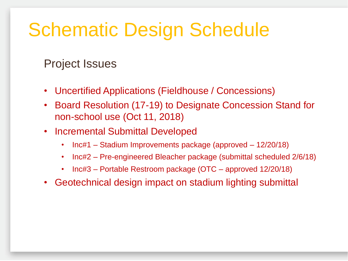## Schematic Design Schedule

Project Issues

- Uncertified Applications (Fieldhouse / Concessions)
- Board Resolution (17-19) to Designate Concession Stand for non-school use (Oct 11, 2018)
- Incremental Submittal Developed
	- Inc#1 Stadium Improvements package (approved 12/20/18)
	- Inc#2 Pre-engineered Bleacher package (submittal scheduled 2/6/18)
	- Inc#3 Portable Restroom package (OTC approved 12/20/18)
- Geotechnical design impact on stadium lighting submittal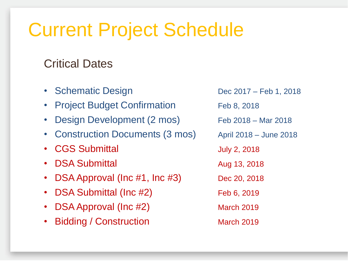### Current Project Schedule

#### Critical Dates

- Schematic Design Dec 2017 Feb 1, 2018 **Project Budget Confirmation** Feb 8, 2018 • Design Development (2 mos) Feb 2018 – Mar 2018 • Construction Documents (3 mos) April 2018 – June 2018 • CGS Submittal July 2, 2018 • DSA Submittal Aug 13, 2018 • DSA Approval (Inc  $\#1$ , Inc  $\#3$ ) Dec 20, 2018
- DSA Submittal (Inc #2) Feb 6, 2019
- **DSA Approval (Inc #2)** March 2019
- Bidding / Construction March 2019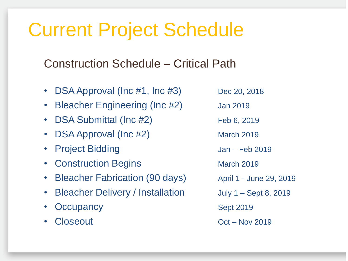## Current Project Schedule

Construction Schedule – Critical Path

- DSA Approval ( $\ln c$  #1,  $\ln c$  #3) Dec 20, 2018
- Bleacher Engineering (Inc #2) Jan 2019
- DSA Submittal (Inc #2) Feb 6, 2019
- DSA Approval (Inc #2) March 2019
- Project Bidding and Man Feb 2019
- Construction Begins March 2019
- Bleacher Fabrication (90 days) April 1 June 29, 2019
- **Bleacher Delivery / Installation** July 1 Sept 8, 2019
- **Occupancy** Sept 2019
- 

• Closeout **Oct – Nov 2019**